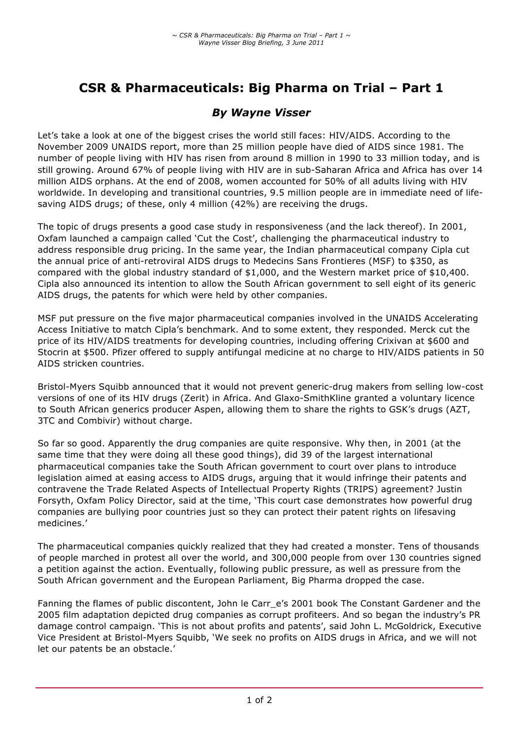# **CSR & Pharmaceuticals: Big Pharma on Trial – Part 1**

## *By Wayne Visser*

Let's take a look at one of the biggest crises the world still faces: HIV/AIDS. According to the November 2009 UNAIDS report, more than 25 million people have died of AIDS since 1981. The number of people living with HIV has risen from around 8 million in 1990 to 33 million today, and is still growing. Around 67% of people living with HIV are in sub-Saharan Africa and Africa has over 14 million AIDS orphans. At the end of 2008, women accounted for 50% of all adults living with HIV worldwide. In developing and transitional countries, 9.5 million people are in immediate need of lifesaving AIDS drugs; of these, only 4 million (42%) are receiving the drugs.

The topic of drugs presents a good case study in responsiveness (and the lack thereof). In 2001, Oxfam launched a campaign called 'Cut the Cost', challenging the pharmaceutical industry to address responsible drug pricing. In the same year, the Indian pharmaceutical company Cipla cut the annual price of anti-retroviral AIDS drugs to Medecins Sans Frontieres (MSF) to \$350, as compared with the global industry standard of \$1,000, and the Western market price of \$10,400. Cipla also announced its intention to allow the South African government to sell eight of its generic AIDS drugs, the patents for which were held by other companies.

MSF put pressure on the five major pharmaceutical companies involved in the UNAIDS Accelerating Access Initiative to match Cipla's benchmark. And to some extent, they responded. Merck cut the price of its HIV/AIDS treatments for developing countries, including offering Crixivan at \$600 and Stocrin at \$500. Pfizer offered to supply antifungal medicine at no charge to HIV/AIDS patients in 50 AIDS stricken countries.

Bristol-Myers Squibb announced that it would not prevent generic-drug makers from selling low-cost versions of one of its HIV drugs (Zerit) in Africa. And Glaxo-SmithKline granted a voluntary licence to South African generics producer Aspen, allowing them to share the rights to GSK's drugs (AZT, 3TC and Combivir) without charge.

So far so good. Apparently the drug companies are quite responsive. Why then, in 2001 (at the same time that they were doing all these good things), did 39 of the largest international pharmaceutical companies take the South African government to court over plans to introduce legislation aimed at easing access to AIDS drugs, arguing that it would infringe their patents and contravene the Trade Related Aspects of Intellectual Property Rights (TRIPS) agreement? Justin Forsyth, Oxfam Policy Director, said at the time, 'This court case demonstrates how powerful drug companies are bullying poor countries just so they can protect their patent rights on lifesaving medicines.'

The pharmaceutical companies quickly realized that they had created a monster. Tens of thousands of people marched in protest all over the world, and 300,000 people from over 130 countries signed a petition against the action. Eventually, following public pressure, as well as pressure from the South African government and the European Parliament, Big Pharma dropped the case.

Fanning the flames of public discontent, John le Carr\_e's 2001 book The Constant Gardener and the 2005 film adaptation depicted drug companies as corrupt profiteers. And so began the industry's PR damage control campaign. 'This is not about profits and patents', said John L. McGoldrick, Executive Vice President at Bristol-Myers Squibb, 'We seek no profits on AIDS drugs in Africa, and we will not let our patents be an obstacle.'